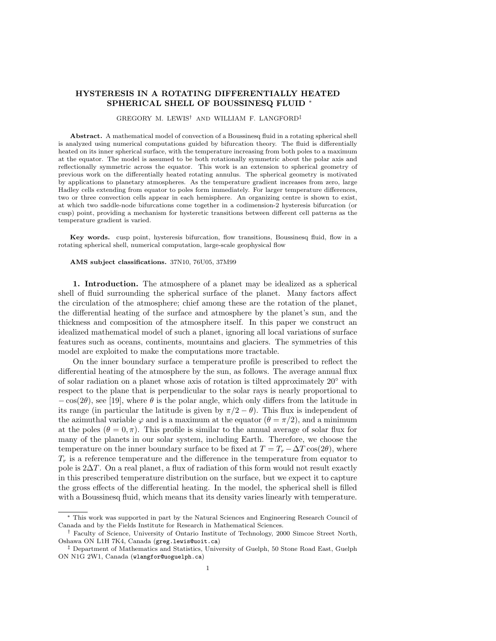# HYSTERESIS IN A ROTATING DIFFERENTIALLY HEATED SPHERICAL SHELL OF BOUSSINESQ FLUID <sup>∗</sup>

## GREGORY M. LEWIS† AND WILLIAM F. LANGFORD‡

Abstract. A mathematical model of convection of a Boussinesq fluid in a rotating spherical shell is analyzed using numerical computations guided by bifurcation theory. The fluid is differentially heated on its inner spherical surface, with the temperature increasing from both poles to a maximum at the equator. The model is assumed to be both rotationally symmetric about the polar axis and reflectionally symmetric across the equator. This work is an extension to spherical geometry of previous work on the differentially heated rotating annulus. The spherical geometry is motivated by applications to planetary atmospheres. As the temperature gradient increases from zero, large Hadley cells extending from equator to poles form immediately. For larger temperature differences, two or three convection cells appear in each hemisphere. An organizing centre is shown to exist, at which two saddle-node bifurcations come together in a codimension-2 hysteresis bifurcation (or cusp) point, providing a mechanism for hysteretic transitions between different cell patterns as the temperature gradient is varied.

Key words. cusp point, hysteresis bifurcation, flow transitions, Boussinesq fluid, flow in a rotating spherical shell, numerical computation, large-scale geophysical flow

#### AMS subject classifications. 37N10, 76U05, 37M99

1. Introduction. The atmosphere of a planet may be idealized as a spherical shell of fluid surrounding the spherical surface of the planet. Many factors affect the circulation of the atmosphere; chief among these are the rotation of the planet, the differential heating of the surface and atmosphere by the planet's sun, and the thickness and composition of the atmosphere itself. In this paper we construct an idealized mathematical model of such a planet, ignoring all local variations of surface features such as oceans, continents, mountains and glaciers. The symmetries of this model are exploited to make the computations more tractable.

On the inner boundary surface a temperature profile is prescribed to reflect the differential heating of the atmosphere by the sun, as follows. The average annual flux of solar radiation on a planet whose axis of rotation is tilted approximately 20◦ with respect to the plane that is perpendicular to the solar rays is nearly proportional to  $-\cos(2\theta)$ , see [19], where  $\theta$  is the polar angle, which only differs from the latitude in its range (in particular the latitude is given by  $\pi/2 - \theta$ ). This flux is independent of the azimuthal variable  $\varphi$  and is a maximum at the equator  $(\theta = \pi/2)$ , and a minimum at the poles  $(\theta = 0, \pi)$ . This profile is similar to the annual average of solar flux for many of the planets in our solar system, including Earth. Therefore, we choose the temperature on the inner boundary surface to be fixed at  $T = T_r - \Delta T \cos(2\theta)$ , where  $T_r$  is a reference temperature and the difference in the temperature from equator to pole is  $2\Delta T$ . On a real planet, a flux of radiation of this form would not result exactly in this prescribed temperature distribution on the surface, but we expect it to capture the gross effects of the differential heating. In the model, the spherical shell is filled with a Boussinesq fluid, which means that its density varies linearly with temperature.

<sup>∗</sup> This work was supported in part by the Natural Sciences and Engineering Research Council of Canada and by the Fields Institute for Research in Mathematical Sciences.

<sup>†</sup> Faculty of Science, University of Ontario Institute of Technology, 2000 Simcoe Street North, Oshawa ON L1H 7K4, Canada (greg.lewis@uoit.ca)

<sup>‡</sup> Department of Mathematics and Statistics, University of Guelph, 50 Stone Road East, Guelph ON N1G 2W1, Canada (wlangfor@uoguelph.ca)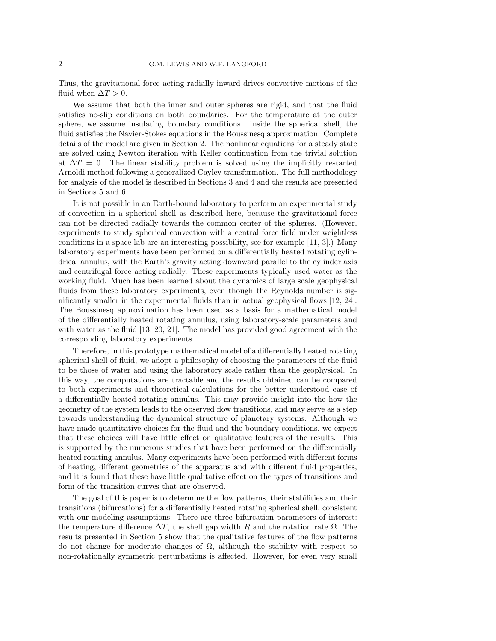Thus, the gravitational force acting radially inward drives convective motions of the fluid when  $\Delta T > 0$ .

We assume that both the inner and outer spheres are rigid, and that the fluid satisfies no-slip conditions on both boundaries. For the temperature at the outer sphere, we assume insulating boundary conditions. Inside the spherical shell, the fluid satisfies the Navier-Stokes equations in the Boussinesq approximation. Complete details of the model are given in Section 2. The nonlinear equations for a steady state are solved using Newton iteration with Keller continuation from the trivial solution at  $\Delta T = 0$ . The linear stability problem is solved using the implicitly restarted Arnoldi method following a generalized Cayley transformation. The full methodology for analysis of the model is described in Sections 3 and 4 and the results are presented in Sections 5 and 6.

It is not possible in an Earth-bound laboratory to perform an experimental study of convection in a spherical shell as described here, because the gravitational force can not be directed radially towards the common center of the spheres. (However, experiments to study spherical convection with a central force field under weightless conditions in a space lab are an interesting possibility, see for example [11, 3].) Many laboratory experiments have been performed on a differentially heated rotating cylindrical annulus, with the Earth's gravity acting downward parallel to the cylinder axis and centrifugal force acting radially. These experiments typically used water as the working fluid. Much has been learned about the dynamics of large scale geophysical fluids from these laboratory experiments, even though the Reynolds number is significantly smaller in the experimental fluids than in actual geophysical flows [12, 24]. The Boussinesq approximation has been used as a basis for a mathematical model of the differentially heated rotating annulus, using laboratory-scale parameters and with water as the fluid [13, 20, 21]. The model has provided good agreement with the corresponding laboratory experiments.

Therefore, in this prototype mathematical model of a differentially heated rotating spherical shell of fluid, we adopt a philosophy of choosing the parameters of the fluid to be those of water and using the laboratory scale rather than the geophysical. In this way, the computations are tractable and the results obtained can be compared to both experiments and theoretical calculations for the better understood case of a differentially heated rotating annulus. This may provide insight into the how the geometry of the system leads to the observed flow transitions, and may serve as a step towards understanding the dynamical structure of planetary systems. Although we have made quantitative choices for the fluid and the boundary conditions, we expect that these choices will have little effect on qualitative features of the results. This is supported by the numerous studies that have been performed on the differentially heated rotating annulus. Many experiments have been performed with different forms of heating, different geometries of the apparatus and with different fluid properties, and it is found that these have little qualitative effect on the types of transitions and form of the transition curves that are observed.

The goal of this paper is to determine the flow patterns, their stabilities and their transitions (bifurcations) for a differentially heated rotating spherical shell, consistent with our modeling assumptions. There are three bifurcation parameters of interest: the temperature difference  $\Delta T$ , the shell gap width R and the rotation rate  $\Omega$ . The results presented in Section 5 show that the qualitative features of the flow patterns do not change for moderate changes of Ω, although the stability with respect to non-rotationally symmetric perturbations is affected. However, for even very small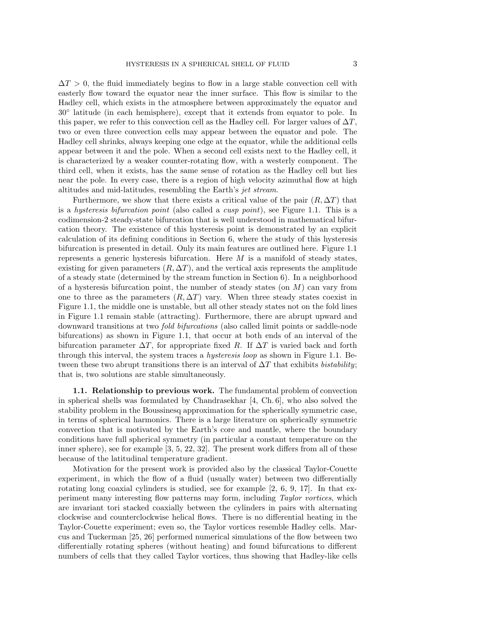$\Delta T > 0$ , the fluid immediately begins to flow in a large stable convection cell with easterly flow toward the equator near the inner surface. This flow is similar to the Hadley cell, which exists in the atmosphere between approximately the equator and 30◦ latitude (in each hemisphere), except that it extends from equator to pole. In this paper, we refer to this convection cell as the Hadley cell. For larger values of  $\Delta T$ , two or even three convection cells may appear between the equator and pole. The Hadley cell shrinks, always keeping one edge at the equator, while the additional cells appear between it and the pole. When a second cell exists next to the Hadley cell, it is characterized by a weaker counter-rotating flow, with a westerly component. The third cell, when it exists, has the same sense of rotation as the Hadley cell but lies near the pole. In every case, there is a region of high velocity azimuthal flow at high altitudes and mid-latitudes, resembling the Earth's jet stream.

Furthermore, we show that there exists a critical value of the pair  $(R, \Delta T)$  that is a hysteresis bifurcation point (also called a cusp point), see Figure 1.1. This is a codimension-2 steady-state bifurcation that is well understood in mathematical bifurcation theory. The existence of this hysteresis point is demonstrated by an explicit calculation of its defining conditions in Section 6, where the study of this hysteresis bifurcation is presented in detail. Only its main features are outlined here. Figure 1.1 represents a generic hysteresis bifurcation. Here  $M$  is a manifold of steady states, existing for given parameters  $(R, \Delta T)$ , and the vertical axis represents the amplitude of a steady state (determined by the stream function in Section 6). In a neighborhood of a hysteresis bifurcation point, the number of steady states (on  $M$ ) can vary from one to three as the parameters  $(R, \Delta T)$  vary. When three steady states coexist in Figure 1.1, the middle one is unstable, but all other steady states not on the fold lines in Figure 1.1 remain stable (attracting). Furthermore, there are abrupt upward and downward transitions at two fold bifurcations (also called limit points or saddle-node bifurcations) as shown in Figure 1.1, that occur at both ends of an interval of the bifurcation parameter  $\Delta T$ , for appropriate fixed R. If  $\Delta T$  is varied back and forth through this interval, the system traces a hysteresis loop as shown in Figure 1.1. Between these two abrupt transitions there is an interval of  $\Delta T$  that exhibits bistability; that is, two solutions are stable simultaneously.

1.1. Relationship to previous work. The fundamental problem of convection in spherical shells was formulated by Chandrasekhar [4, Ch. 6], who also solved the stability problem in the Boussinesq approximation for the spherically symmetric case, in terms of spherical harmonics. There is a large literature on spherically symmetric convection that is motivated by the Earth's core and mantle, where the boundary conditions have full spherical symmetry (in particular a constant temperature on the inner sphere), see for example [3, 5, 22, 32]. The present work differs from all of these because of the latitudinal temperature gradient.

Motivation for the present work is provided also by the classical Taylor-Couette experiment, in which the flow of a fluid (usually water) between two differentially rotating long coaxial cylinders is studied, see for example  $[2, 6, 9, 17]$ . In that experiment many interesting flow patterns may form, including Taylor vortices, which are invariant tori stacked coaxially between the cylinders in pairs with alternating clockwise and counterclockwise helical flows. There is no differential heating in the Taylor-Couette experiment; even so, the Taylor vortices resemble Hadley cells. Marcus and Tuckerman [25, 26] performed numerical simulations of the flow between two differentially rotating spheres (without heating) and found bifurcations to different numbers of cells that they called Taylor vortices, thus showing that Hadley-like cells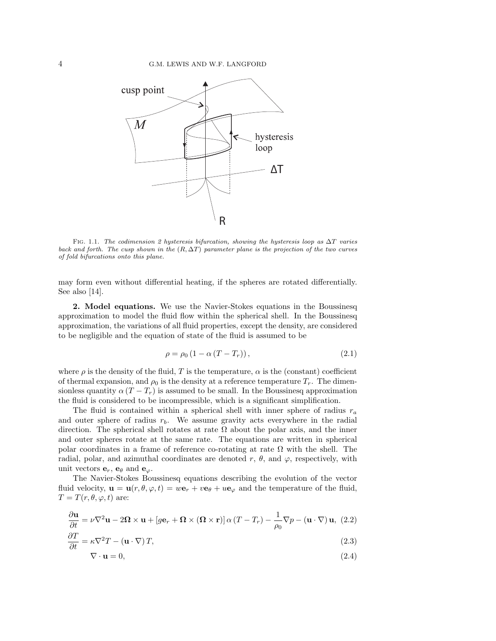

FIG. 1.1. The codimension 2 hysteresis bifurcation, showing the hysteresis loop as  $\Delta T$  varies back and forth. The cusp shown in the  $(R, \Delta T)$  parameter plane is the projection of the two curves of fold bifurcations onto this plane.

may form even without differential heating, if the spheres are rotated differentially. See also [14].

2. Model equations. We use the Navier-Stokes equations in the Boussinesq approximation to model the fluid flow within the spherical shell. In the Boussinesq approximation, the variations of all fluid properties, except the density, are considered to be negligible and the equation of state of the fluid is assumed to be

$$
\rho = \rho_0 \left( 1 - \alpha \left( T - T_r \right) \right),\tag{2.1}
$$

where  $\rho$  is the density of the fluid, T is the temperature,  $\alpha$  is the (constant) coefficient of thermal expansion, and  $\rho_0$  is the density at a reference temperature  $T_r$ . The dimensionless quantity  $\alpha (T - T_r)$  is assumed to be small. In the Boussinesq approximation the fluid is considered to be incompressible, which is a significant simplification.

The fluid is contained within a spherical shell with inner sphere of radius  $r_a$ and outer sphere of radius  $r_b$ . We assume gravity acts everywhere in the radial direction. The spherical shell rotates at rate  $\Omega$  about the polar axis, and the inner and outer spheres rotate at the same rate. The equations are written in spherical polar coordinates in a frame of reference co-rotating at rate  $\Omega$  with the shell. The radial, polar, and azimuthal coordinates are denoted r,  $\theta$ , and  $\varphi$ , respectively, with unit vectors  $\mathbf{e}_r$ ,  $\mathbf{e}_\theta$  and  $\mathbf{e}_\varphi$ .

The Navier-Stokes Boussinesq equations describing the evolution of the vector fluid velocity,  $\mathbf{u} = \mathbf{u}(r, \theta, \varphi, t) = w\mathbf{e}_r + v\mathbf{e}_{\theta} + u\mathbf{e}_{\varphi}$  and the temperature of the fluid,  $T = T(r, \theta, \varphi, t)$  are:

$$
\frac{\partial \mathbf{u}}{\partial t} = \nu \nabla^2 \mathbf{u} - 2\mathbf{\Omega} \times \mathbf{u} + [g \mathbf{e}_r + \mathbf{\Omega} \times (\mathbf{\Omega} \times \mathbf{r})] \alpha (T - T_r) - \frac{1}{\rho_0} \nabla p - (\mathbf{u} \cdot \nabla) \mathbf{u}, \tag{2.2}
$$

$$
\frac{\partial T}{\partial t} = \kappa \nabla^2 T - (\mathbf{u} \cdot \nabla) T,\tag{2.3}
$$

$$
\nabla \cdot \mathbf{u} = 0,\tag{2.4}
$$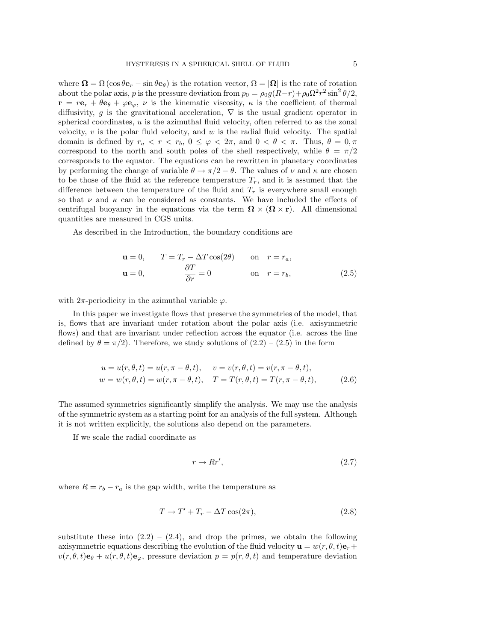where  $\mathbf{\Omega} = \Omega (\cos \theta \mathbf{e}_r - \sin \theta \mathbf{e}_{\theta})$  is the rotation vector,  $\Omega = |\mathbf{\Omega}|$  is the rate of rotation about the polar axis, p is the pressure deviation from  $p_0 = \rho_0 g(R-r) + \rho_0 \Omega^2 r^2 \sin^2 \theta/2$ ,  $\mathbf{r} = r\mathbf{e}_r + \theta \mathbf{e}_{\theta} + \varphi \mathbf{e}_{\varphi}, \nu$  is the kinematic viscosity,  $\kappa$  is the coefficient of thermal diffusivity, g is the gravitational acceleration,  $\nabla$  is the usual gradient operator in spherical coordinates, u is the azimuthal fluid velocity, often referred to as the zonal velocity,  $v$  is the polar fluid velocity, and  $w$  is the radial fluid velocity. The spatial domain is defined by  $r_a < r < r_b$ ,  $0 \leq \varphi < 2\pi$ , and  $0 < \theta < \pi$ . Thus,  $\theta = 0, \pi$ correspond to the north and south poles of the shell respectively, while  $\theta = \pi/2$ corresponds to the equator. The equations can be rewritten in planetary coordinates by performing the change of variable  $\theta \to \pi/2 - \theta$ . The values of  $\nu$  and  $\kappa$  are chosen to be those of the fluid at the reference temperature  $T_r$ , and it is assumed that the difference between the temperature of the fluid and  $T_r$  is everywhere small enough so that  $\nu$  and  $\kappa$  can be considered as constants. We have included the effects of centrifugal buoyancy in the equations via the term  $\Omega \times (\Omega \times r)$ . All dimensional quantities are measured in CGS units.

As described in the Introduction, the boundary conditions are

$$
\mathbf{u} = 0, \qquad T = T_r - \Delta T \cos(2\theta) \qquad \text{on} \quad r = r_a,
$$
  

$$
\mathbf{u} = 0, \qquad \frac{\partial T}{\partial r} = 0 \qquad \text{on} \quad r = r_b,
$$
 (2.5)

with  $2\pi$ -periodicity in the azimuthal variable  $\varphi$ .

In this paper we investigate flows that preserve the symmetries of the model, that is, flows that are invariant under rotation about the polar axis (i.e. axisymmetric flows) and that are invariant under reflection across the equator (i.e. across the line defined by  $\theta = \pi/2$ . Therefore, we study solutions of  $(2.2) - (2.5)$  in the form

$$
u = u(r, \theta, t) = u(r, \pi - \theta, t), \quad v = v(r, \theta, t) = v(r, \pi - \theta, t),
$$
  

$$
w = w(r, \theta, t) = w(r, \pi - \theta, t), \quad T = T(r, \theta, t) = T(r, \pi - \theta, t),
$$
 (2.6)

The assumed symmetries significantly simplify the analysis. We may use the analysis of the symmetric system as a starting point for an analysis of the full system. Although it is not written explicitly, the solutions also depend on the parameters.

If we scale the radial coordinate as

$$
r \to R r',\tag{2.7}
$$

where  $R = r_b - r_a$  is the gap width, write the temperature as

$$
T \to T' + T_r - \Delta T \cos(2\pi), \tag{2.8}
$$

substitute these into  $(2.2) - (2.4)$ , and drop the primes, we obtain the following axisymmetric equations describing the evolution of the fluid velocity  $\mathbf{u} = w(r, \theta, t)\mathbf{e}_r +$  $v(r, \theta, t)$ **e**<sub> $\theta$ </sub> +  $u(r, \theta, t)$ **e**<sub> $\varphi$ </sub>, pressure deviation  $p = p(r, \theta, t)$  and temperature deviation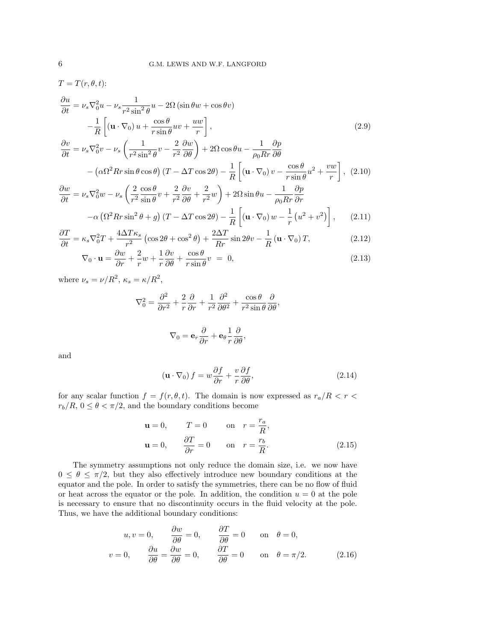$$
T = T(r, \theta, t):
$$
\n
$$
\frac{\partial u}{\partial t} = \nu_s \nabla_0^2 u - \nu_s \frac{1}{r^2 \sin^2 \theta} u - 2\Omega (\sin \theta w + \cos \theta v)
$$
\n
$$
-\frac{1}{R} \left[ (\mathbf{u} \cdot \nabla_0) u + \frac{\cos \theta}{r \sin \theta} uv + \frac{uw}{r} \right],
$$
\n
$$
\frac{\partial v}{\partial t} = \nu_s \nabla_0^2 v - \nu_s \left( \frac{1}{r^2 \sin^2 \theta} v - \frac{2}{r^2} \frac{\partial w}{\partial \theta} \right) + 2\Omega \cos \theta u - \frac{1}{\rho_0 R r} \frac{\partial p}{\partial \theta}
$$
\n
$$
- \left( \alpha \Omega^2 R r \sin \theta \cos \theta \right) (T - \Delta T \cos 2\theta) - \frac{1}{R} \left[ (\mathbf{u} \cdot \nabla_0) v - \frac{\cos \theta}{r \sin \theta} u^2 + \frac{vw}{r} \right],
$$
\n
$$
\frac{\partial w}{\partial t} = \nu_s \nabla_0^2 w - \nu_s \left( \frac{2}{r^2 \sin \theta} v + \frac{2}{r^2} \frac{\partial v}{\partial \theta} + \frac{2}{r^2} w \right) + 2\Omega \sin \theta u - \frac{1}{\rho_0 R r} \frac{\partial p}{\partial r}
$$
\n
$$
- \alpha \left( \Omega^2 R r \sin^2 \theta + g \right) (T - \Delta T \cos 2\theta) - \frac{1}{R} \left[ (\mathbf{u} \cdot \nabla_0) w - \frac{1}{r} (u^2 + v^2) \right],
$$
\n(2.11)

$$
\frac{\partial T}{\partial t} = \kappa_s \nabla_0^2 T + \frac{4\Delta T \kappa_s}{r^2} \left( \cos 2\theta + \cos^2 \theta \right) + \frac{2\Delta T}{Rr} \sin 2\theta v - \frac{1}{R} \left( \mathbf{u} \cdot \nabla_0 \right) T, \tag{2.12}
$$

$$
\nabla_0 \cdot \mathbf{u} = \frac{\partial w}{\partial r} + \frac{2}{r} w + \frac{1}{r} \frac{\partial v}{\partial \theta} + \frac{\cos \theta}{r \sin \theta} v = 0,
$$
\n(2.13)

where  $\nu_s = \nu/R^2$ ,  $\kappa_s = \kappa/R^2$ ,

$$
\nabla_0^2 = \frac{\partial^2}{\partial r^2} + \frac{2}{r} \frac{\partial}{\partial r} + \frac{1}{r^2} \frac{\partial^2}{\partial \theta^2} + \frac{\cos \theta}{r^2 \sin \theta} \frac{\partial}{\partial \theta},
$$
  

$$
\nabla \qquad \frac{\partial}{\partial r} = \frac{1}{r^2} \frac{\partial^2}{\partial \theta^2} + \frac{1}{r^2 \sin \theta} \frac{\partial}{\partial \theta},
$$

$$
\nabla_0 = \mathbf{e}_r \frac{\partial}{\partial r} + \mathbf{e}_\theta \frac{1}{r} \frac{\partial}{\partial \theta},
$$

and

$$
\left(\mathbf{u} \cdot \nabla_0\right) f = w \frac{\partial f}{\partial r} + \frac{v}{r} \frac{\partial f}{\partial \theta},\tag{2.14}
$$

for any scalar function  $f = f(r, \theta, t)$ . The domain is now expressed as  $r_a/R < r <$  $r_b/R$ ,  $0 \leq \theta < \pi/2$ , and the boundary conditions become

$$
\mathbf{u} = 0, \qquad T = 0 \qquad \text{on} \quad r = \frac{r_a}{R},
$$
  

$$
\mathbf{u} = 0, \qquad \frac{\partial T}{\partial r} = 0 \qquad \text{on} \quad r = \frac{r_b}{R}.
$$
 (2.15)

The symmetry assumptions not only reduce the domain size, i.e. we now have  $0 \leq \theta \leq \pi/2$ , but they also effectively introduce new boundary conditions at the equator and the pole. In order to satisfy the symmetries, there can be no flow of fluid or heat across the equator or the pole. In addition, the condition  $u = 0$  at the pole is necessary to ensure that no discontinuity occurs in the fluid velocity at the pole. Thus, we have the additional boundary conditions:

$$
u, v = 0, \qquad \frac{\partial w}{\partial \theta} = 0, \qquad \frac{\partial T}{\partial \theta} = 0 \qquad \text{on} \quad \theta = 0,
$$
  

$$
v = 0, \qquad \frac{\partial u}{\partial \theta} = \frac{\partial w}{\partial \theta} = 0, \qquad \frac{\partial T}{\partial \theta} = 0 \qquad \text{on} \quad \theta = \pi/2.
$$
 (2.16)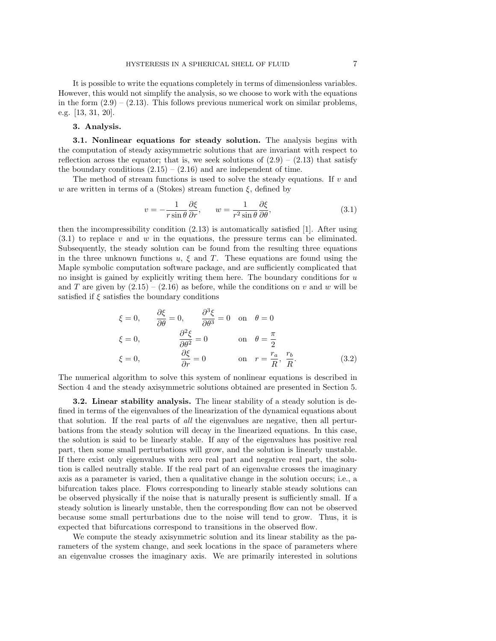It is possible to write the equations completely in terms of dimensionless variables. However, this would not simplify the analysis, so we choose to work with the equations in the form  $(2.9) - (2.13)$ . This follows previous numerical work on similar problems, e.g. [13, 31, 20].

### 3. Analysis.

3.1. Nonlinear equations for steady solution. The analysis begins with the computation of steady axisymmetric solutions that are invariant with respect to reflection across the equator; that is, we seek solutions of  $(2.9) - (2.13)$  that satisfy the boundary conditions  $(2.15) - (2.16)$  and are independent of time.

The method of stream functions is used to solve the steady equations. If  $v$  and w are written in terms of a (Stokes) stream function  $\xi$ , defined by

$$
v = -\frac{1}{r\sin\theta} \frac{\partial \xi}{\partial r}, \qquad w = \frac{1}{r^2 \sin\theta} \frac{\partial \xi}{\partial \theta}, \tag{3.1}
$$

then the incompressibility condition (2.13) is automatically satisfied [1]. After using  $(3.1)$  to replace v and w in the equations, the pressure terms can be eliminated. Subsequently, the steady solution can be found from the resulting three equations in the three unknown functions u,  $\xi$  and T. These equations are found using the Maple symbolic computation software package, and are sufficiently complicated that no insight is gained by explicitly writing them here. The boundary conditions for  $u$ and T are given by  $(2.15) - (2.16)$  as before, while the conditions on v and w will be satisfied if  $\xi$  satisfies the boundary conditions

$$
\xi = 0, \qquad \frac{\partial \xi}{\partial \theta} = 0, \qquad \frac{\partial^3 \xi}{\partial \theta^3} = 0 \quad \text{on} \quad \theta = 0
$$
  

$$
\xi = 0, \qquad \frac{\partial^2 \xi}{\partial \theta^2} = 0 \qquad \text{on} \quad \theta = \frac{\pi}{2}
$$
  

$$
\xi = 0, \qquad \frac{\partial \xi}{\partial r} = 0 \qquad \text{on} \quad r = \frac{r_a}{R}, \frac{r_b}{R}.
$$
 (3.2)

The numerical algorithm to solve this system of nonlinear equations is described in Section 4 and the steady axisymmetric solutions obtained are presented in Section 5.

3.2. Linear stability analysis. The linear stability of a steady solution is defined in terms of the eigenvalues of the linearization of the dynamical equations about that solution. If the real parts of all the eigenvalues are negative, then all perturbations from the steady solution will decay in the linearized equations. In this case, the solution is said to be linearly stable. If any of the eigenvalues has positive real part, then some small perturbations will grow, and the solution is linearly unstable. If there exist only eigenvalues with zero real part and negative real part, the solution is called neutrally stable. If the real part of an eigenvalue crosses the imaginary axis as a parameter is varied, then a qualitative change in the solution occurs; i.e., a bifurcation takes place. Flows corresponding to linearly stable steady solutions can be observed physically if the noise that is naturally present is sufficiently small. If a steady solution is linearly unstable, then the corresponding flow can not be observed because some small perturbations due to the noise will tend to grow. Thus, it is expected that bifurcations correspond to transitions in the observed flow.

We compute the steady axisymmetric solution and its linear stability as the parameters of the system change, and seek locations in the space of parameters where an eigenvalue crosses the imaginary axis. We are primarily interested in solutions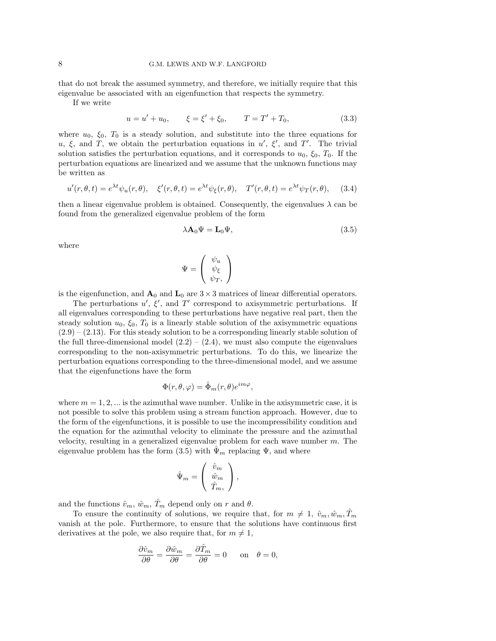that do not break the assumed symmetry, and therefore, we initially require that this eigenvalue be associated with an eigenfunction that respects the symmetry.

If we write

$$
u = u' + u_0, \t\xi = \xi' + \xi_0, \tT = T' + T_0, \t(3.3)
$$

where  $u_0$ ,  $\xi_0$ ,  $T_0$  is a steady solution, and substitute into the three equations for u,  $\xi$ , and T, we obtain the perturbation equations in u',  $\xi'$ , and T'. The trivial solution satisfies the perturbation equations, and it corresponds to  $u_0$ ,  $\xi_0$ ,  $T_0$ . If the perturbation equations are linearized and we assume that the unknown functions may be written as

$$
u'(r,\theta,t) = e^{\lambda t} \psi_u(r,\theta), \quad \xi'(r,\theta,t) = e^{\lambda t} \psi_{\xi}(r,\theta), \quad T'(r,\theta,t) = e^{\lambda t} \psi_T(r,\theta), \quad (3.4)
$$

then a linear eigenvalue problem is obtained. Consequently, the eigenvalues  $\lambda$  can be found from the generalized eigenvalue problem of the form

$$
\lambda \mathbf{A}_0 \Psi = \mathbf{L}_0 \Psi, \tag{3.5}
$$

where

$$
\Psi = \left(\begin{array}{c} \psi_u \\ \psi_{\xi} \\ \psi_T, \end{array}\right)
$$

is the eigenfunction, and  $\mathbf{A}_0$  and  $\mathbf{L}_0$  are  $3 \times 3$  matrices of linear differential operators.

The perturbations  $u'$ ,  $\xi'$ , and  $T'$  correspond to axisymmetric perturbations. If all eigenvalues corresponding to these perturbations have negative real part, then the steady solution  $u_0, \xi_0, T_0$  is a linearly stable solution of the axisymmetric equations  $(2.9) - (2.13)$ . For this steady solution to be a corresponding linearly stable solution of the full three-dimensional model  $(2.2) - (2.4)$ , we must also compute the eigenvalues corresponding to the non-axisymmetric perturbations. To do this, we linearize the perturbation equations corresponding to the three-dimensional model, and we assume that the eigenfunctions have the form

$$
\Phi(r,\theta,\varphi) = \hat{\Phi}_m(r,\theta)e^{im\varphi},
$$

where  $m = 1, 2, \dots$  is the azimuthal wave number. Unlike in the axisymmetric case, it is not possible to solve this problem using a stream function approach. However, due to the form of the eigenfunctions, it is possible to use the incompressibility condition and the equation for the azimuthal velocity to eliminate the pressure and the azimuthal velocity, resulting in a generalized eigenvalue problem for each wave number  $m$ . The eigenvalue problem has the form (3.5) with  $\Psi_m$  replacing  $\Psi$ , and where

$$
\hat{\Psi}_m = \left( \begin{array}{c} \hat{v}_m \\ \hat{w}_m \\ \hat{T}_m, \end{array} \right),
$$

and the functions  $\hat{v}_m$ ,  $\hat{w}_m$ ,  $\hat{T}_m$  depend only on r and  $\theta$ .

To ensure the continuity of solutions, we require that, for  $m \neq 1$ ,  $\hat{v}_m, \hat{w}_m, T_m$ vanish at the pole. Furthermore, to ensure that the solutions have continuous first derivatives at the pole, we also require that, for  $m \neq 1$ ,

$$
\frac{\partial \hat{v}_m}{\partial \theta} = \frac{\partial \hat{w}_m}{\partial \theta} = \frac{\partial \hat{T}_m}{\partial \theta} = 0 \quad \text{on} \quad \theta = 0,
$$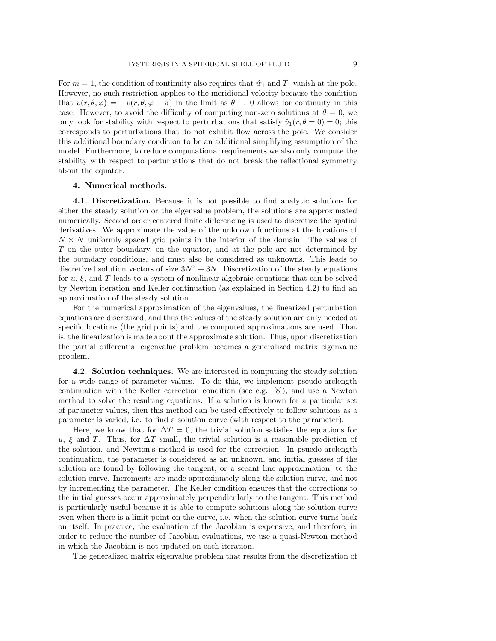For  $m = 1$ , the condition of continuity also requires that  $\hat{w}_1$  and  $\hat{T}_1$  vanish at the pole. However, no such restriction applies to the meridional velocity because the condition that  $v(r, \theta, \varphi) = -v(r, \theta, \varphi + \pi)$  in the limit as  $\theta \to 0$  allows for continuity in this case. However, to avoid the difficulty of computing non-zero solutions at  $\theta = 0$ , we only look for stability with respect to perturbations that satisfy  $\hat{v}_1(r, \theta = 0) = 0$ ; this corresponds to perturbations that do not exhibit flow across the pole. We consider this additional boundary condition to be an additional simplifying assumption of the model. Furthermore, to reduce computational requirements we also only compute the stability with respect to perturbations that do not break the reflectional symmetry about the equator.

## 4. Numerical methods.

4.1. Discretization. Because it is not possible to find analytic solutions for either the steady solution or the eigenvalue problem, the solutions are approximated numerically. Second order centered finite differencing is used to discretize the spatial derivatives. We approximate the value of the unknown functions at the locations of  $N \times N$  uniformly spaced grid points in the interior of the domain. The values of T on the outer boundary, on the equator, and at the pole are not determined by the boundary conditions, and must also be considered as unknowns. This leads to discretized solution vectors of size  $3N^2 + 3N$ . Discretization of the steady equations for  $u, \xi$ , and T leads to a system of nonlinear algebraic equations that can be solved by Newton iteration and Keller continuation (as explained in Section 4.2) to find an approximation of the steady solution.

For the numerical approximation of the eigenvalues, the linearized perturbation equations are discretized, and thus the values of the steady solution are only needed at specific locations (the grid points) and the computed approximations are used. That is, the linearization is made about the approximate solution. Thus, upon discretization the partial differential eigenvalue problem becomes a generalized matrix eigenvalue problem.

4.2. Solution techniques. We are interested in computing the steady solution for a wide range of parameter values. To do this, we implement pseudo-arclength continuation with the Keller correction condition (see e.g. [8]), and use a Newton method to solve the resulting equations. If a solution is known for a particular set of parameter values, then this method can be used effectively to follow solutions as a parameter is varied, i.e. to find a solution curve (with respect to the parameter).

Here, we know that for  $\Delta T = 0$ , the trivial solution satisfies the equations for u,  $\xi$  and T. Thus, for  $\Delta T$  small, the trivial solution is a reasonable prediction of the solution, and Newton's method is used for the correction. In psuedo-arclength continuation, the parameter is considered as an unknown, and initial guesses of the solution are found by following the tangent, or a secant line approximation, to the solution curve. Increments are made approximately along the solution curve, and not by incrementing the parameter. The Keller condition ensures that the corrections to the initial guesses occur approximately perpendicularly to the tangent. This method is particularly useful because it is able to compute solutions along the solution curve even when there is a limit point on the curve, i.e. when the solution curve turns back on itself. In practice, the evaluation of the Jacobian is expensive, and therefore, in order to reduce the number of Jacobian evaluations, we use a quasi-Newton method in which the Jacobian is not updated on each iteration.

The generalized matrix eigenvalue problem that results from the discretization of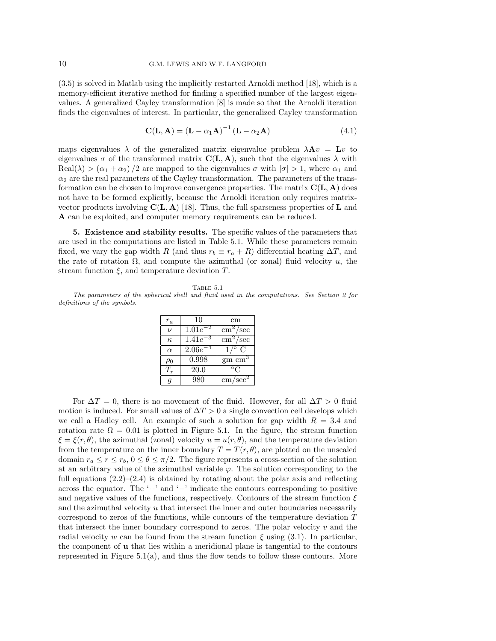(3.5) is solved in Matlab using the implicitly restarted Arnoldi method [18], which is a memory-efficient iterative method for finding a specified number of the largest eigenvalues. A generalized Cayley transformation [8] is made so that the Arnoldi iteration finds the eigenvalues of interest. In particular, the generalized Cayley transformation

$$
\mathbf{C}(\mathbf{L}, \mathbf{A}) = (\mathbf{L} - \alpha_1 \mathbf{A})^{-1} (\mathbf{L} - \alpha_2 \mathbf{A})
$$
\n(4.1)

maps eigenvalues  $\lambda$  of the generalized matrix eigenvalue problem  $\lambda A v = L v$  to eigenvalues  $\sigma$  of the transformed matrix  $\mathbf{C}(\mathbf{L}, \mathbf{A})$ , such that the eigenvalues  $\lambda$  with  $\text{Real}(\lambda) > (\alpha_1 + \alpha_2)/2$  are mapped to the eigenvalues  $\sigma$  with  $|\sigma| > 1$ , where  $\alpha_1$  and  $\alpha_2$  are the real parameters of the Cayley transformation. The parameters of the transformation can be chosen to improve convergence properties. The matrix  $C(L, A)$  does not have to be formed explicitly, because the Arnoldi iteration only requires matrixvector products involving  $C(L, A)$  [18]. Thus, the full sparseness properties of L and A can be exploited, and computer memory requirements can be reduced.

5. Existence and stability results. The specific values of the parameters that are used in the computations are listed in Table 5.1. While these parameters remain fixed, we vary the gap width R (and thus  $r_b \equiv r_a + R$ ) differential heating  $\Delta T$ , and the rate of rotation  $\Omega$ , and compute the azimuthal (or zonal) fluid velocity u, the stream function  $\xi$ , and temperature deviation T.

| ABL.<br>г. |  |  |
|------------|--|--|
|------------|--|--|

The parameters of the spherical shell and fluid used in the computations. See Section 2 for definitions of the symbols.

| $r_a$    | 10           | $\,\mathrm{cm}$   |
|----------|--------------|-------------------|
| $\nu$    | $1.01e^{-2}$ | $\rm cm^2/sec$    |
| $\kappa$ | $1.41e^-$    | $\rm cm^2/sec$    |
| $\alpha$ | $2.06e^{-}$  | - 0               |
| $\rho_0$ | 0.998        | $gm \text{ cm}^3$ |
| $T_r$    | 20.0         | $^{\circ}$ C      |
|          | 980          | $\rm cm/sec^2$    |

For  $\Delta T = 0$ , there is no movement of the fluid. However, for all  $\Delta T > 0$  fluid motion is induced. For small values of  $\Delta T > 0$  a single convection cell develops which we call a Hadley cell. An example of such a solution for gap width  $R = 3.4$  and rotation rate  $\Omega = 0.01$  is plotted in Figure 5.1. In the figure, the stream function  $\xi = \xi(r, \theta)$ , the azimuthal (zonal) velocity  $u = u(r, \theta)$ , and the temperature deviation from the temperature on the inner boundary  $T = T(r, \theta)$ , are plotted on the unscaled domain  $r_a \le r \le r_b$ ,  $0 \le \theta \le \pi/2$ . The figure represents a cross-section of the solution at an arbitrary value of the azimuthal variable  $\varphi$ . The solution corresponding to the full equations  $(2.2)$ – $(2.4)$  is obtained by rotating about the polar axis and reflecting across the equator. The '+' and ' $-$ ' indicate the contours corresponding to positive and negative values of the functions, respectively. Contours of the stream function  $\xi$ and the azimuthal velocity u that intersect the inner and outer boundaries necessarily correspond to zeros of the functions, while contours of the temperature deviation T that intersect the inner boundary correspond to zeros. The polar velocity  $v$  and the radial velocity w can be found from the stream function  $\xi$  using (3.1). In particular, the component of u that lies within a meridional plane is tangential to the contours represented in Figure  $5.1(a)$ , and thus the flow tends to follow these contours. More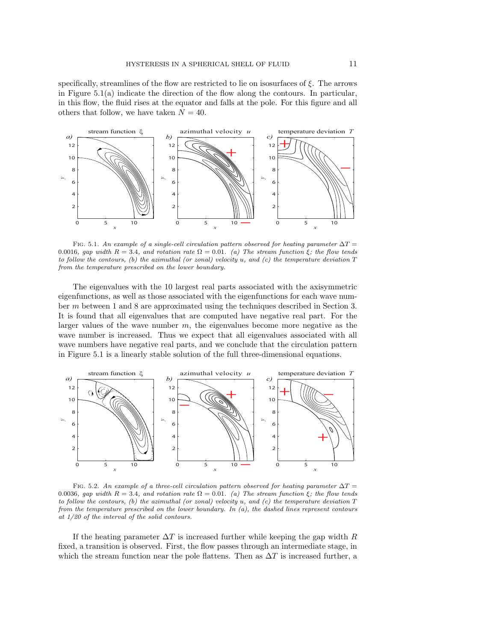specifically, streamlines of the flow are restricted to lie on isosurfaces of ξ. The arrows in Figure 5.1(a) indicate the direction of the flow along the contours. In particular, in this flow, the fluid rises at the equator and falls at the pole. For this figure and all others that follow, we have taken  $N = 40$ .



FIG. 5.1. An example of a single-cell circulation pattern observed for heating parameter  $\Delta T =$ 0.0016, gap width  $R = 3.4$ , and rotation rate  $\Omega = 0.01$ . (a) The stream function  $\xi$ ; the flow tends to follow the contours, (b) the azimuthal (or zonal) velocity u, and (c) the temperature deviation  $T$ from the temperature prescribed on the lower boundary.

The eigenvalues with the 10 largest real parts associated with the axisymmetric eigenfunctions, as well as those associated with the eigenfunctions for each wave number m between 1 and 8 are approximated using the techniques described in Section 3. It is found that all eigenvalues that are computed have negative real part. For the larger values of the wave number  $m$ , the eigenvalues become more negative as the wave number is increased. Thus we expect that all eigenvalues associated with all wave numbers have negative real parts, and we conclude that the circulation pattern in Figure 5.1 is a linearly stable solution of the full three-dimensional equations.



FIG. 5.2. An example of a three-cell circulation pattern observed for heating parameter  $\Delta T =$ 0.0036, gap width  $R = 3.4$ , and rotation rate  $\Omega = 0.01$ . (a) The stream function  $\xi$ ; the flow tends to follow the contours, (b) the azimuthal (or zonal) velocity  $u$ , and (c) the temperature deviation  $T$ from the temperature prescribed on the lower boundary. In (a), the dashed lines represent contours at 1/20 of the interval of the solid contours.

If the heating parameter  $\Delta T$  is increased further while keeping the gap width R fixed, a transition is observed. First, the flow passes through an intermediate stage, in which the stream function near the pole flattens. Then as  $\Delta T$  is increased further, a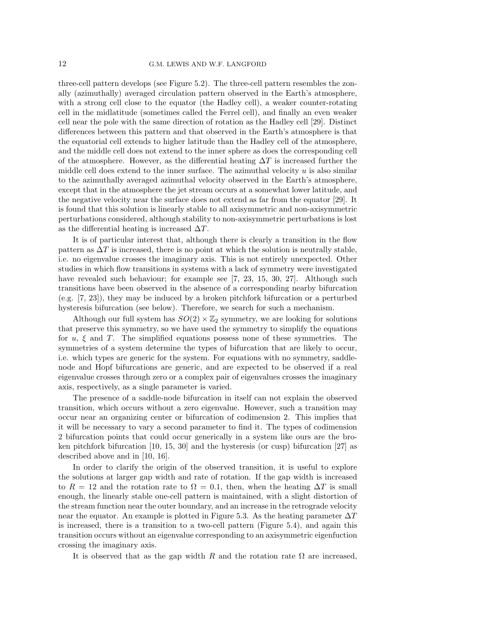three-cell pattern develops (see Figure 5.2). The three-cell pattern resembles the zonally (azimuthally) averaged circulation pattern observed in the Earth's atmosphere, with a strong cell close to the equator (the Hadley cell), a weaker counter-rotating cell in the midlatitude (sometimes called the Ferrel cell), and finally an even weaker cell near the pole with the same direction of rotation as the Hadley cell [29]. Distinct differences between this pattern and that observed in the Earth's atmosphere is that the equatorial cell extends to higher latitude than the Hadley cell of the atmosphere, and the middle cell does not extend to the inner sphere as does the corresponding cell of the atmosphere. However, as the differential heating  $\Delta T$  is increased further the middle cell does extend to the inner surface. The azimuthal velocity  $u$  is also similar to the azimuthally averaged azimuthal velocity observed in the Earth's atmosphere, except that in the atmosphere the jet stream occurs at a somewhat lower latitude, and the negative velocity near the surface does not extend as far from the equator [29]. It is found that this solution is linearly stable to all axisymmetric and non-axisymmetric perturbations considered, although stability to non-axisymmetric perturbations is lost as the differential heating is increased  $\Delta T$ .

It is of particular interest that, although there is clearly a transition in the flow pattern as  $\Delta T$  is increased, there is no point at which the solution is neutrally stable, i.e. no eigenvalue crosses the imaginary axis. This is not entirely unexpected. Other studies in which flow transitions in systems with a lack of symmetry were investigated have revealed such behaviour; for example see [7, 23, 15, 30, 27]. Although such transitions have been observed in the absence of a corresponding nearby bifurcation (e.g. [7, 23]), they may be induced by a broken pitchfork bifurcation or a perturbed hysteresis bifurcation (see below). Therefore, we search for such a mechanism.

Although our full system has  $SO(2) \times \mathbb{Z}_2$  symmetry, we are looking for solutions that preserve this symmetry, so we have used the symmetry to simplify the equations for  $u, \xi$  and T. The simplified equations possess none of these symmetries. The symmetries of a system determine the types of bifurcation that are likely to occur, i.e. which types are generic for the system. For equations with no symmetry, saddlenode and Hopf bifurcations are generic, and are expected to be observed if a real eigenvalue crosses through zero or a complex pair of eigenvalues crosses the imaginary axis, respectively, as a single parameter is varied.

The presence of a saddle-node bifurcation in itself can not explain the observed transition, which occurs without a zero eigenvalue. However, such a transition may occur near an organizing center or bifurcation of codimension 2. This implies that it will be necessary to vary a second parameter to find it. The types of codimension 2 bifurcation points that could occur generically in a system like ours are the broken pitchfork bifurcation [10, 15, 30] and the hysteresis (or cusp) bifurcation [27] as described above and in [10, 16].

In order to clarify the origin of the observed transition, it is useful to explore the solutions at larger gap width and rate of rotation. If the gap width is increased to  $R = 12$  and the rotation rate to  $\Omega = 0.1$ , then, when the heating  $\Delta T$  is small enough, the linearly stable one-cell pattern is maintained, with a slight distortion of the stream function near the outer boundary, and an increase in the retrograde velocity near the equator. An example is plotted in Figure 5.3. As the heating parameter  $\Delta T$ is increased, there is a transition to a two-cell pattern (Figure 5.4), and again this transition occurs without an eigenvalue corresponding to an axisymmetric eigenfuction crossing the imaginary axis.

It is observed that as the gap width R and the rotation rate  $\Omega$  are increased,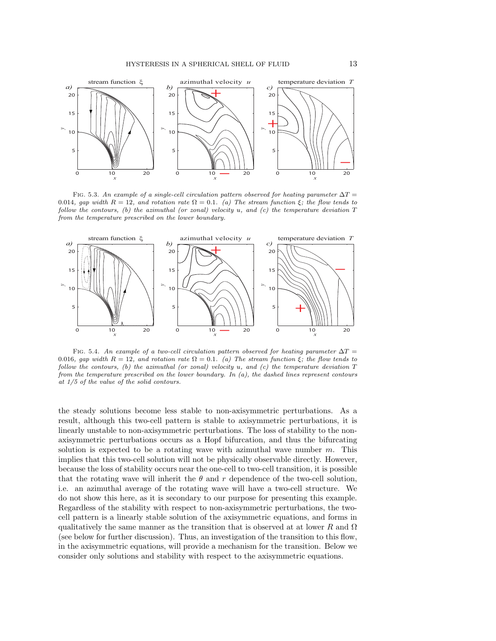

FIG. 5.3. An example of a single-cell circulation pattern observed for heating parameter  $\Delta T =$ 0.014, gap width  $R = 12$ , and rotation rate  $\Omega = 0.1$ . (a) The stream function  $\xi$ ; the flow tends to follow the contours, (b) the azimuthal (or zonal) velocity u, and (c) the temperature deviation T from the temperature prescribed on the lower boundary.



FIG. 5.4. An example of a two-cell circulation pattern observed for heating parameter  $\Delta T =$ 0.016, gap width  $R = 12$ , and rotation rate  $\Omega = 0.1$ . (a) The stream function  $\xi$ ; the flow tends to follow the contours, (b) the azimuthal (or zonal) velocity u, and (c) the temperature deviation  $T$ from the temperature prescribed on the lower boundary. In  $(a)$ , the dashed lines represent contours at 1/5 of the value of the solid contours.

the steady solutions become less stable to non-axisymmetric perturbations. As a result, although this two-cell pattern is stable to axisymmetric perturbations, it is linearly unstable to non-axisymmetric perturbations. The loss of stability to the nonaxisymmetric perturbations occurs as a Hopf bifurcation, and thus the bifurcating solution is expected to be a rotating wave with azimuthal wave number  $m$ . This implies that this two-cell solution will not be physically observable directly. However, because the loss of stability occurs near the one-cell to two-cell transition, it is possible that the rotating wave will inherit the  $\theta$  and r dependence of the two-cell solution, i.e. an azimuthal average of the rotating wave will have a two-cell structure. We do not show this here, as it is secondary to our purpose for presenting this example. Regardless of the stability with respect to non-axisymmetric perturbations, the twocell pattern is a linearly stable solution of the axisymmetric equations, and forms in qualitatively the same manner as the transition that is observed at at lower R and  $\Omega$ (see below for further discussion). Thus, an investigation of the transition to this flow, in the axisymmetric equations, will provide a mechanism for the transition. Below we consider only solutions and stability with respect to the axisymmetric equations.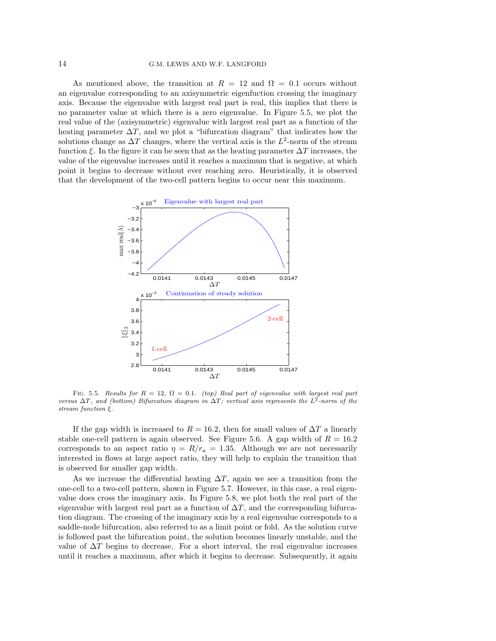As mentioned above, the transition at  $R = 12$  and  $\Omega = 0.1$  occurs without an eigenvalue corresponding to an axisymmetric eigenfuction crossing the imaginary axis. Because the eigenvalue with largest real part is real, this implies that there is no parameter value at which there is a zero eigenvalue. In Figure 5.5, we plot the real value of the (axisymmetric) eigenvalue with largest real part as a function of the heating parameter  $\Delta T$ , and we plot a "bifurcation diagram" that indicates how the solutions change as  $\Delta T$  changes, where the vertical axis is the  $L^2$ -norm of the stream function  $\xi$ . In the figure it can be seen that as the heating parameter  $\Delta T$  increases, the value of the eigenvalue increases until it reaches a maximum that is negative, at which point it begins to decrease without ever reaching zero. Heuristically, it is observed that the development of the two-cell pattern begins to occur near this maximum.



FIG. 5.5. Results for  $R = 12$ ,  $\Omega = 0.1$ . (top) Real part of eigenvalue with largest real part versus  $\Delta T$ , and (bottom) Bifurcation diagram in  $\Delta T$ ; vertical axis represents the  $L^2$ -norm of the  $stream$   $function$   $\xi.$ 

If the gap width is increased to  $R = 16.2$ , then for small values of  $\Delta T$  a linearly stable one-cell pattern is again observed. See Figure 5.6. A gap width of  $R = 16.2$ corresponds to an aspect ratio  $\eta = R/r_a = 1.35$ . Although we are not necessarily interested in flows at large aspect ratio, they will help to explain the transition that is observed for smaller gap width.

As we increase the differential heating  $\Delta T$ , again we see a transition from the one-cell to a two-cell pattern, shown in Figure 5.7. However, in this case, a real eigenvalue does cross the imaginary axis. In Figure 5.8, we plot both the real part of the eigenvalue with largest real part as a function of  $\Delta T$ , and the corresponding bifurcation diagram. The crossing of the imaginary axis by a real eigenvalue corresponds to a saddle-node bifurcation, also referred to as a limit point or fold. As the solution curve is followed past the bifurcation point, the solution becomes linearly unstable, and the value of  $\Delta T$  begins to decrease. For a short interval, the real eigenvalue increases until it reaches a maximum, after which it begins to decrease. Subsequently, it again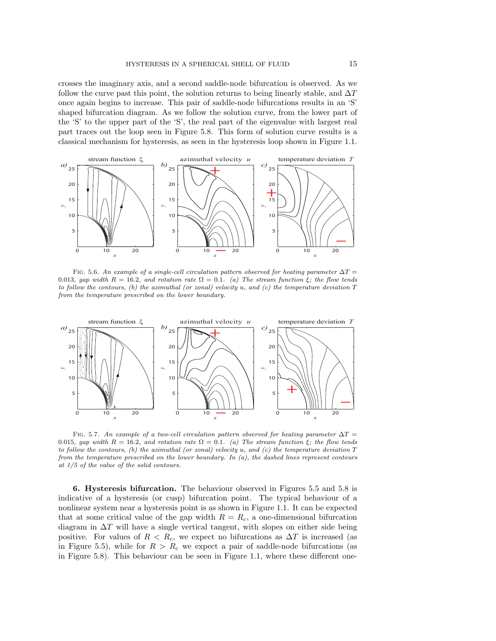crosses the imaginary axis, and a second saddle-node bifurcation is observed. As we follow the curve past this point, the solution returns to being linearly stable, and  $\Delta T$ once again begins to increase. This pair of saddle-node bifurcations results in an 'S' shaped bifurcation diagram. As we follow the solution curve, from the lower part of the 'S' to the upper part of the 'S', the real part of the eigenvalue with largest real part traces out the loop seen in Figure 5.8. This form of solution curve results is a classical mechanism for hysteresis, as seen in the hysteresis loop shown in Figure 1.1.



FIG. 5.6. An example of a single-cell circulation pattern observed for heating parameter  $\Delta T =$ 0.013, gap width  $R = 16.2$ , and rotation rate  $\Omega = 0.1$ . (a) The stream function  $\xi$ ; the flow tends to follow the contours, (b) the azimuthal (or zonal) velocity u, and (c) the temperature deviation  $T$ from the temperature prescribed on the lower boundary.



FIG. 5.7. An example of a two-cell circulation pattern observed for heating parameter  $\Delta T =$ 0.015, gap width  $R = 16.2$ , and rotation rate  $\Omega = 0.1$ . (a) The stream function  $\xi$ ; the flow tends to follow the contours,  $(b)$  the azimuthal (or zonal) velocity u, and  $(c)$  the temperature deviation  $T$ from the temperature prescribed on the lower boundary. In  $(a)$ , the dashed lines represent contours at 1/5 of the value of the solid contours.

6. Hysteresis bifurcation. The behaviour observed in Figures 5.5 and 5.8 is indicative of a hysteresis (or cusp) bifurcation point. The typical behaviour of a nonlinear system near a hysteresis point is as shown in Figure 1.1. It can be expected that at some critical value of the gap width  $R = R<sub>c</sub>$ , a one-dimensional bifurcation diagram in  $\Delta T$  will have a single vertical tangent, with slopes on either side being positive. For values of  $R < R_c$ , we expect no bifurcations as  $\Delta T$  is increased (as in Figure 5.5), while for  $R > R_c$  we expect a pair of saddle-node bifurcations (as in Figure 5.8). This behaviour can be seen in Figure 1.1, where these different one-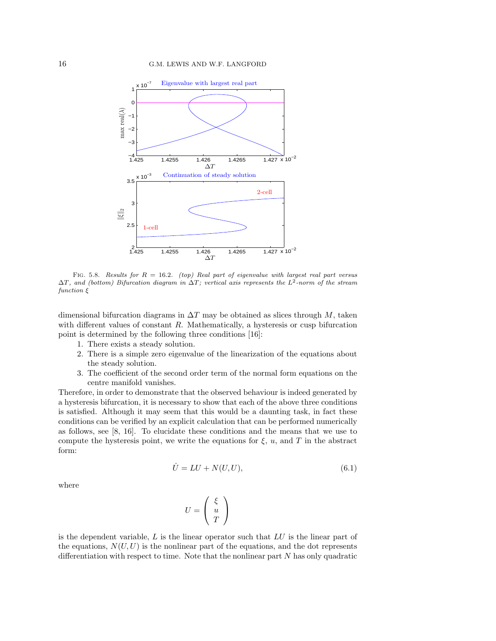

FIG. 5.8. Results for  $R = 16.2$ . (top) Real part of eigenvalue with largest real part versus  $\Delta T$ , and (bottom) Bifurcation diagram in  $\Delta T$ ; vertical axis represents the  $L^2$ -norm of the stream function ξ

dimensional bifurcation diagrams in  $\Delta T$  may be obtained as slices through M, taken with different values of constant  $R$ . Mathematically, a hysteresis or cusp bifurcation point is determined by the following three conditions [16]:

- 1. There exists a steady solution.
- 2. There is a simple zero eigenvalue of the linearization of the equations about the steady solution.
- 3. The coefficient of the second order term of the normal form equations on the centre manifold vanishes.

Therefore, in order to demonstrate that the observed behaviour is indeed generated by a hysteresis bifurcation, it is necessary to show that each of the above three conditions is satisfied. Although it may seem that this would be a daunting task, in fact these conditions can be verified by an explicit calculation that can be performed numerically as follows, see [8, 16]. To elucidate these conditions and the means that we use to compute the hysteresis point, we write the equations for  $\xi$ ,  $u$ , and  $T$  in the abstract form:

$$
\dot{U} = LU + N(U, U),\tag{6.1}
$$

where

$$
U=\left(\begin{array}{c}\xi\\u\\T\end{array}\right)
$$

is the dependent variable,  $L$  is the linear operator such that  $LU$  is the linear part of the equations,  $N(U, U)$  is the nonlinear part of the equations, and the dot represents differentiation with respect to time. Note that the nonlinear part  $N$  has only quadratic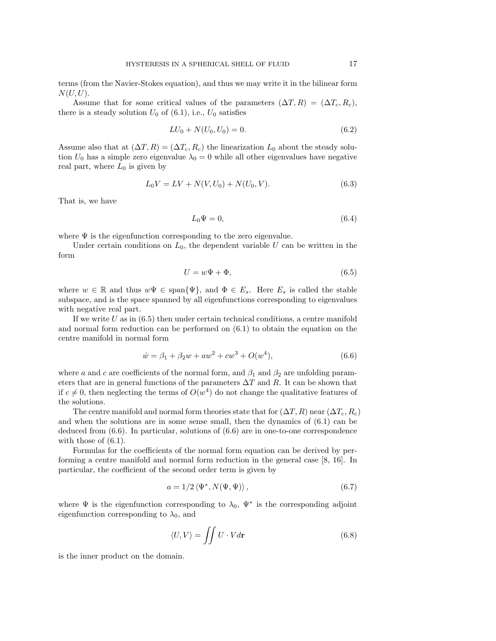terms (from the Navier-Stokes equation), and thus we may write it in the bilinear form  $N(U, U)$ .

Assume that for some critical values of the parameters  $(\Delta T, R) = (\Delta T_c, R_c)$ , there is a steady solution  $U_0$  of (6.1), i.e.,  $U_0$  satisfies

$$
LU_0 + N(U_0, U_0) = 0.
$$
\n(6.2)

Assume also that at  $(\Delta T, R) = (\Delta T_c, R_c)$  the linearization  $L_0$  about the steady solution  $U_0$  has a simple zero eigenvalue  $\lambda_0 = 0$  while all other eigenvalues have negative real part, where  $L_0$  is given by

$$
L_0V = LV + N(V, U_0) + N(U_0, V). \tag{6.3}
$$

That is, we have

$$
L_0 \Psi = 0,\t\t(6.4)
$$

where  $\Psi$  is the eigenfunction corresponding to the zero eigenvalue.

Under certain conditions on  $L_0$ , the dependent variable U can be written in the form

$$
U = w\Psi + \Phi,\tag{6.5}
$$

where  $w \in \mathbb{R}$  and thus  $w\Psi \in \text{span}\{\Psi\}$ , and  $\Phi \in E_s$ . Here  $E_s$  is called the stable subspace, and is the space spanned by all eigenfunctions corresponding to eigenvalues with negative real part.

If we write  $U$  as in  $(6.5)$  then under certain technical conditions, a centre manifold and normal form reduction can be performed on (6.1) to obtain the equation on the centre manifold in normal form

$$
\dot{w} = \beta_1 + \beta_2 w + aw^2 + cw^3 + O(w^4),\tag{6.6}
$$

where a and c are coefficients of the normal form, and  $\beta_1$  and  $\beta_2$  are unfolding parameters that are in general functions of the parameters  $\Delta T$  and R. It can be shown that if  $c \neq 0$ , then neglecting the terms of  $O(w^4)$  do not change the qualitative features of the solutions.

The centre manifold and normal form theories state that for  $(\Delta T, R)$  near  $(\Delta T_c, R_c)$ and when the solutions are in some sense small, then the dynamics of  $(6.1)$  can be deduced from (6.6). In particular, solutions of (6.6) are in one-to-one correspondence with those of  $(6.1)$ .

Formulas for the coefficients of the normal form equation can be derived by performing a centre manifold and normal form reduction in the general case [8, 16]. In particular, the coefficient of the second order term is given by

$$
a = 1/2 \langle \Psi^*, N(\Psi, \Psi) \rangle, \qquad (6.7)
$$

where  $\Psi$  is the eigenfunction corresponding to  $\lambda_0$ ,  $\Psi^*$  is the corresponding adjoint eigenfunction corresponding to  $\lambda_0$ , and

$$
\langle U, V \rangle = \iint U \cdot V d\mathbf{r}
$$
 (6.8)

is the inner product on the domain.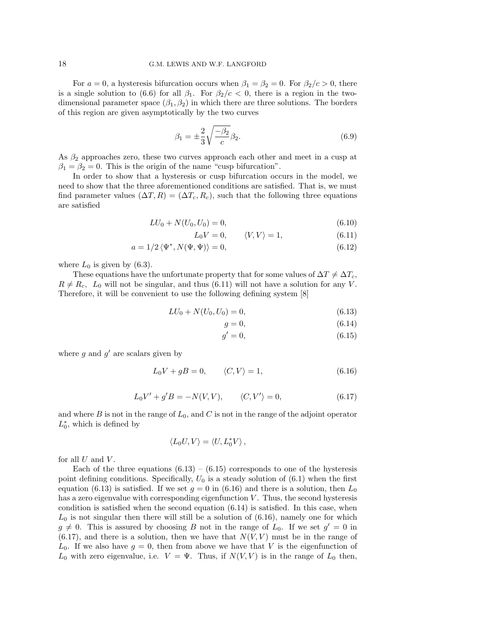For  $a = 0$ , a hysteresis bifurcation occurs when  $\beta_1 = \beta_2 = 0$ . For  $\beta_2/c > 0$ , there is a single solution to (6.6) for all  $\beta_1$ . For  $\beta_2/c < 0$ , there is a region in the twodimensional parameter space  $(\beta_1, \beta_2)$  in which there are three solutions. The borders of this region are given asymptotically by the two curves

$$
\beta_1 = \pm \frac{2}{3} \sqrt{\frac{-\beta_2}{c}} \beta_2.
$$
\n(6.9)

As  $\beta_2$  approaches zero, these two curves approach each other and meet in a cusp at  $\beta_1 = \beta_2 = 0$ . This is the origin of the name "cusp bifurcation".

In order to show that a hysteresis or cusp bifurcation occurs in the model, we need to show that the three aforementioned conditions are satisfied. That is, we must find parameter values  $(\Delta T, R) = (\Delta T_c, R_c)$ , such that the following three equations are satisfied

$$
LU_0 + N(U_0, U_0) = 0,\t\t(6.10)
$$

$$
L_0 V = 0, \qquad \langle V, V \rangle = 1, \tag{6.11}
$$

$$
a = 1/2 \langle \Psi^*, N(\Psi, \Psi) \rangle = 0,\tag{6.12}
$$

where  $L_0$  is given by (6.3).

These equations have the unfortunate property that for some values of  $\Delta T \neq \Delta T_c$ ,  $R \neq R_c$ ,  $L_0$  will not be singular, and thus (6.11) will not have a solution for any V. Therefore, it will be convenient to use the following defining system [8]

$$
LU_0 + N(U_0, U_0) = 0,\t\t(6.13)
$$

$$
g = 0,\t(6.14)
$$

$$
g'=0,\t\t(6.15)
$$

where  $g$  and  $g'$  are scalars given by

$$
L_0V + gB = 0, \qquad \langle C, V \rangle = 1,\tag{6.16}
$$

$$
L_0V' + g'B = -N(V, V), \qquad \langle C, V' \rangle = 0,
$$
\n(6.17)

and where B is not in the range of  $L_0$ , and C is not in the range of the adjoint operator  $L_0^*$ , which is defined by

$$
\langle L_0 U, V \rangle = \langle U, L_0^* V \rangle \, ,
$$

for all  $U$  and  $V$ .

Each of the three equations  $(6.13) - (6.15)$  corresponds to one of the hysteresis point defining conditions. Specifically,  $U_0$  is a steady solution of  $(6.1)$  when the first equation (6.13) is satisfied. If we set  $g = 0$  in (6.16) and there is a solution, then  $L_0$ has a zero eigenvalue with corresponding eigenfunction  $V$ . Thus, the second hysteresis condition is satisfied when the second equation (6.14) is satisfied. In this case, when  $L_0$  is not singular then there will still be a solution of  $(6.16)$ , namely one for which  $g \neq 0$ . This is assured by choosing B not in the range of  $L_0$ . If we set  $g' = 0$  in  $(6.17)$ , and there is a solution, then we have that  $N(V, V)$  must be in the range of  $L_0$ . If we also have  $g = 0$ , then from above we have that V is the eigenfunction of  $L_0$  with zero eigenvalue, i.e.  $V = \Psi$ . Thus, if  $N(V, V)$  is in the range of  $L_0$  then,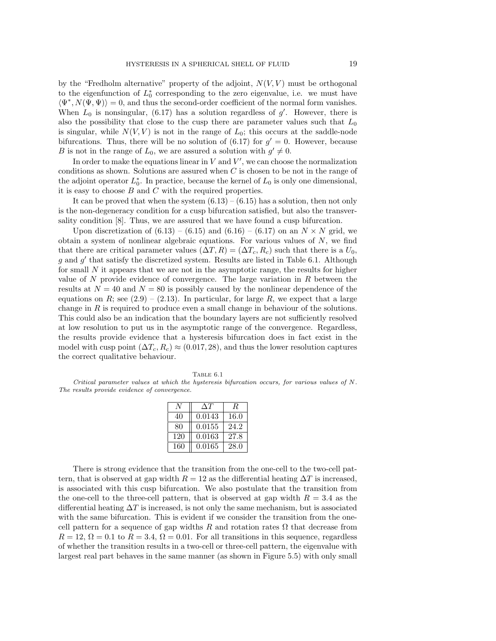by the "Fredholm alternative" property of the adjoint,  $N(V, V)$  must be orthogonal to the eigenfunction of  $L_0^*$  corresponding to the zero eigenvalue, i.e. we must have  $\langle \Psi^*, N(\Psi, \Psi) \rangle = 0$ , and thus the second-order coefficient of the normal form vanishes. When  $L_0$  is nonsingular, (6.17) has a solution regardless of  $g'$ . However, there is also the possibility that close to the cusp there are parameter values such that  $L_0$ is singular, while  $N(V, V)$  is not in the range of  $L_0$ ; this occurs at the saddle-node bifurcations. Thus, there will be no solution of  $(6.17)$  for  $g' = 0$ . However, because B is not in the range of  $L_0$ , we are assured a solution with  $g' \neq 0$ .

In order to make the equations linear in  $V$  and  $V'$ , we can choose the normalization conditions as shown. Solutions are assured when  $C$  is chosen to be not in the range of the adjoint operator  $L_0^*$ . In practice, because the kernel of  $L_0$  is only one dimensional, it is easy to choose  $B$  and  $C$  with the required properties.

It can be proved that when the system  $(6.13) - (6.15)$  has a solution, then not only is the non-degeneracy condition for a cusp bifurcation satisfied, but also the transversality condition [8]. Thus, we are assured that we have found a cusp bifurcation.

Upon discretization of  $(6.13) - (6.15)$  and  $(6.16) - (6.17)$  on an  $N \times N$  grid, we obtain a system of nonlinear algebraic equations. For various values of  $N$ , we find that there are critical parameter values ( $\Delta T, R$ ) = ( $\Delta T_c, R_c$ ) such that there is a  $U_0$ ,  $g$  and  $g'$  that satisfy the discretized system. Results are listed in Table 6.1. Although for small  $N$  it appears that we are not in the asymptotic range, the results for higher value of  $N$  provide evidence of convergence. The large variation in  $R$  between the results at  $N = 40$  and  $N = 80$  is possibly caused by the nonlinear dependence of the equations on R; see  $(2.9) - (2.13)$ . In particular, for large R, we expect that a large change in  $R$  is required to produce even a small change in behaviour of the solutions. This could also be an indication that the boundary layers are not sufficiently resolved at low resolution to put us in the asymptotic range of the convergence. Regardless, the results provide evidence that a hysteresis bifurcation does in fact exist in the model with cusp point  $(\Delta T_c, R_c) \approx (0.017, 28)$ , and thus the lower resolution captures the correct qualitative behaviour.

| TABLE.<br>. . |  |
|---------------|--|
|---------------|--|

Critical parameter values at which the hysteresis bifurcation occurs, for various values of N. The results provide evidence of convergence.

|     | $\wedge T$ | R.   |
|-----|------------|------|
| 40  | 0.0143     | 16.0 |
| 80  | 0.0155     | 24.2 |
| 120 | 0.0163     | 27.8 |
| 160 | 0.0165     | 28.0 |

There is strong evidence that the transition from the one-cell to the two-cell pattern, that is observed at gap width  $R = 12$  as the differential heating  $\Delta T$  is increased, is associated with this cusp bifurcation. We also postulate that the transition from the one-cell to the three-cell pattern, that is observed at gap width  $R = 3.4$  as the differential heating  $\Delta T$  is increased, is not only the same mechanism, but is associated with the same bifurcation. This is evident if we consider the transition from the onecell pattern for a sequence of gap widths R and rotation rates  $\Omega$  that decrease from  $R = 12$ ,  $\Omega = 0.1$  to  $R = 3.4$ ,  $\Omega = 0.01$ . For all transitions in this sequence, regardless of whether the transition results in a two-cell or three-cell pattern, the eigenvalue with largest real part behaves in the same manner (as shown in Figure 5.5) with only small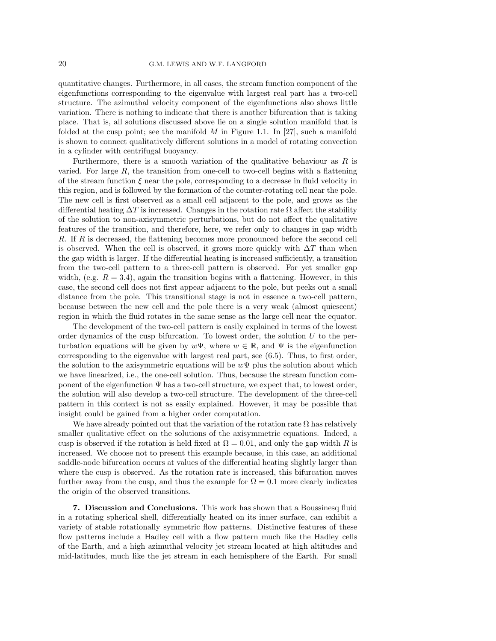quantitative changes. Furthermore, in all cases, the stream function component of the eigenfunctions corresponding to the eigenvalue with largest real part has a two-cell structure. The azimuthal velocity component of the eigenfunctions also shows little variation. There is nothing to indicate that there is another bifurcation that is taking place. That is, all solutions discussed above lie on a single solution manifold that is folded at the cusp point; see the manifold M in Figure 1.1. In [27], such a manifold is shown to connect qualitatively different solutions in a model of rotating convection in a cylinder with centrifugal buoyancy.

Furthermore, there is a smooth variation of the qualitative behaviour as  $R$  is varied. For large  $R$ , the transition from one-cell to two-cell begins with a flattening of the stream function  $\xi$  near the pole, corresponding to a decrease in fluid velocity in this region, and is followed by the formation of the counter-rotating cell near the pole. The new cell is first observed as a small cell adjacent to the pole, and grows as the differential heating  $\Delta T$  is increased. Changes in the rotation rate  $\Omega$  affect the stability of the solution to non-axisymmetric perturbations, but do not affect the qualitative features of the transition, and therefore, here, we refer only to changes in gap width R. If R is decreased, the flattening becomes more pronounced before the second cell is observed. When the cell is observed, it grows more quickly with  $\Delta T$  than when the gap width is larger. If the differential heating is increased sufficiently, a transition from the two-cell pattern to a three-cell pattern is observed. For yet smaller gap width, (e.g.  $R = 3.4$ ), again the transition begins with a flattening. However, in this case, the second cell does not first appear adjacent to the pole, but peeks out a small distance from the pole. This transitional stage is not in essence a two-cell pattern, because between the new cell and the pole there is a very weak (almost quiescent) region in which the fluid rotates in the same sense as the large cell near the equator.

The development of the two-cell pattern is easily explained in terms of the lowest order dynamics of the cusp bifurcation. To lowest order, the solution  $U$  to the perturbation equations will be given by  $w\Psi$ , where  $w \in \mathbb{R}$ , and  $\Psi$  is the eigenfunction corresponding to the eigenvalue with largest real part, see (6.5). Thus, to first order, the solution to the axisymmetric equations will be  $w\Psi$  plus the solution about which we have linearized, i.e., the one-cell solution. Thus, because the stream function component of the eigenfunction  $\Psi$  has a two-cell structure, we expect that, to lowest order, the solution will also develop a two-cell structure. The development of the three-cell pattern in this context is not as easily explained. However, it may be possible that insight could be gained from a higher order computation.

We have already pointed out that the variation of the rotation rate  $\Omega$  has relatively smaller qualitative effect on the solutions of the axisymmetric equations. Indeed, a cusp is observed if the rotation is held fixed at  $\Omega = 0.01$ , and only the gap width R is increased. We choose not to present this example because, in this case, an additional saddle-node bifurcation occurs at values of the differential heating slightly larger than where the cusp is observed. As the rotation rate is increased, this bifurcation moves further away from the cusp, and thus the example for  $\Omega = 0.1$  more clearly indicates the origin of the observed transitions.

7. Discussion and Conclusions. This work has shown that a Boussinesq fluid in a rotating spherical shell, differentially heated on its inner surface, can exhibit a variety of stable rotationally symmetric flow patterns. Distinctive features of these flow patterns include a Hadley cell with a flow pattern much like the Hadley cells of the Earth, and a high azimuthal velocity jet stream located at high altitudes and mid-latitudes, much like the jet stream in each hemisphere of the Earth. For small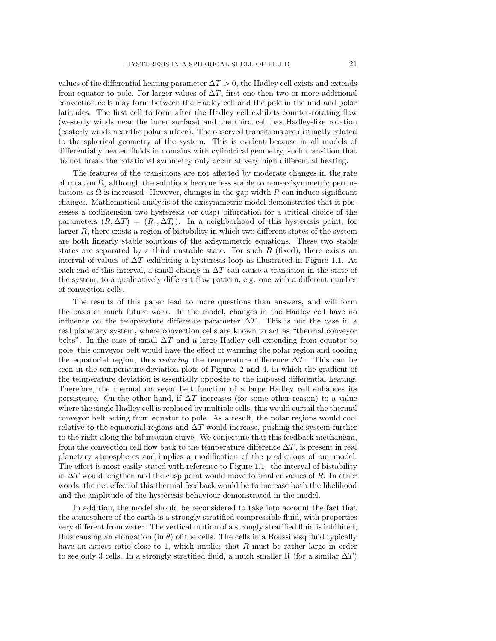values of the differential heating parameter  $\Delta T > 0$ , the Hadley cell exists and extends from equator to pole. For larger values of  $\Delta T$ , first one then two or more additional convection cells may form between the Hadley cell and the pole in the mid and polar latitudes. The first cell to form after the Hadley cell exhibits counter-rotating flow (westerly winds near the inner surface) and the third cell has Hadley-like rotation (easterly winds near the polar surface). The observed transitions are distinctly related to the spherical geometry of the system. This is evident because in all models of differentially heated fluids in domains with cylindrical geometry, such transition that do not break the rotational symmetry only occur at very high differential heating.

The features of the transitions are not affected by moderate changes in the rate of rotation  $\Omega$ , although the solutions become less stable to non-axisymmetric perturbations as  $\Omega$  is increased. However, changes in the gap width R can induce significant changes. Mathematical analysis of the axisymmetric model demonstrates that it possesses a codimension two hysteresis (or cusp) bifurcation for a critical choice of the parameters  $(R, \Delta T) = (R_c, \Delta T_c)$ . In a neighborhood of this hysteresis point, for larger  $R$ , there exists a region of bistability in which two different states of the system are both linearly stable solutions of the axisymmetric equations. These two stable states are separated by a third unstable state. For such  $R$  (fixed), there exists an interval of values of  $\Delta T$  exhibiting a hysteresis loop as illustrated in Figure 1.1. At each end of this interval, a small change in  $\Delta T$  can cause a transition in the state of the system, to a qualitatively different flow pattern, e.g. one with a different number of convection cells.

The results of this paper lead to more questions than answers, and will form the basis of much future work. In the model, changes in the Hadley cell have no influence on the temperature difference parameter  $\Delta T$ . This is not the case in a real planetary system, where convection cells are known to act as "thermal conveyor belts". In the case of small  $\Delta T$  and a large Hadley cell extending from equator to pole, this conveyor belt would have the effect of warming the polar region and cooling the equatorial region, thus *reducing* the temperature difference  $\Delta T$ . This can be seen in the temperature deviation plots of Figures 2 and 4, in which the gradient of the temperature deviation is essentially opposite to the imposed differential heating. Therefore, the thermal conveyor belt function of a large Hadley cell enhances its persistence. On the other hand, if  $\Delta T$  increases (for some other reason) to a value where the single Hadley cell is replaced by multiple cells, this would curtail the thermal conveyor belt acting from equator to pole. As a result, the polar regions would cool relative to the equatorial regions and  $\Delta T$  would increase, pushing the system further to the right along the bifurcation curve. We conjecture that this feedback mechanism, from the convection cell flow back to the temperature difference  $\Delta T$ , is present in real planetary atmospheres and implies a modification of the predictions of our model. The effect is most easily stated with reference to Figure 1.1: the interval of bistability in  $\Delta T$  would lengthen and the cusp point would move to smaller values of R. In other words, the net effect of this thermal feedback would be to increase both the likelihood and the amplitude of the hysteresis behaviour demonstrated in the model.

In addition, the model should be reconsidered to take into account the fact that the atmosphere of the earth is a strongly stratified compressible fluid, with properties very different from water. The vertical motion of a strongly stratified fluid is inhibited, thus causing an elongation (in  $\theta$ ) of the cells. The cells in a Boussinesq fluid typically have an aspect ratio close to 1, which implies that R must be rather large in order to see only 3 cells. In a strongly stratified fluid, a much smaller R (for a similar  $\Delta T$ )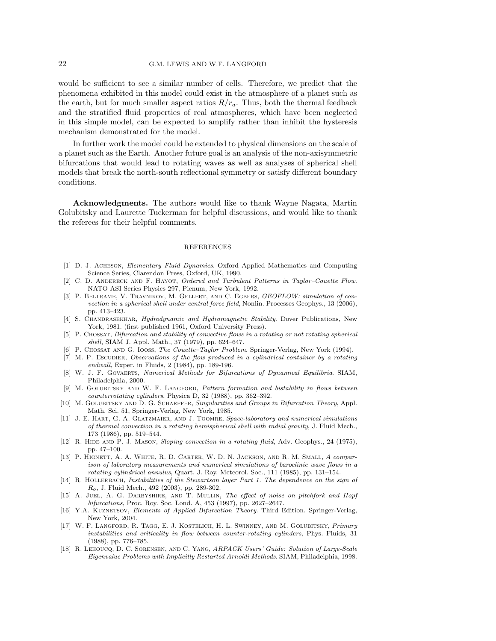would be sufficient to see a similar number of cells. Therefore, we predict that the phenomena exhibited in this model could exist in the atmosphere of a planet such as the earth, but for much smaller aspect ratios  $R/r_a$ . Thus, both the thermal feedback and the stratified fluid properties of real atmospheres, which have been neglected in this simple model, can be expected to amplify rather than inhibit the hysteresis mechanism demonstrated for the model.

In further work the model could be extended to physical dimensions on the scale of a planet such as the Earth. Another future goal is an analysis of the non-axisymmetric bifurcations that would lead to rotating waves as well as analyses of spherical shell models that break the north-south reflectional symmetry or satisfy different boundary conditions.

Acknowledgments. The authors would like to thank Wayne Nagata, Martin Golubitsky and Laurette Tuckerman for helpful discussions, and would like to thank the referees for their helpful comments.

#### REFERENCES

- [1] D. J. Acheson, Elementary Fluid Dynamics. Oxford Applied Mathematics and Computing Science Series, Clarendon Press, Oxford, UK, 1990.
- [2] C. D. ANDERECK AND F. HAYOT, Ordered and Turbulent Patterns in Taylor–Couette Flow. NATO ASI Series Physics 297, Plenum, New York, 1992.
- [3] P. BELTRAME, V. TRAVNIKOV, M. GELLERT, AND C. EGBERS, GEOFLOW: simulation of convection in a spherical shell under central force field, Nonlin. Processes Geophys., 13 (2006), pp. 413–423.
- [4] S. CHANDRASEKHAR, *Hydrodynamic and Hydromagnetic Stability*. Dover Publications, New York, 1981. (first published 1961, Oxford University Press).
- [5] P. Chossat, Bifurcation and stability of convective flows in a rotating or not rotating spherical shell, SIAM J. Appl. Math., 37 (1979), pp. 624–647.
- [6] P. Chossat and G. Iooss, The Couette–Taylor Problem. Springer-Verlag, New York (1994).
- [7] M. P. Escupier, Observations of the flow produced in a cylindrical container by a rotating endwall, Exper. in Fluids, 2 (1984), pp. 189-196.
- [8] W. J. F. Govaerts, Numerical Methods for Bifurcations of Dynamical Equilibria. SIAM, Philadelphia, 2000.
- [9] M. GOLUBITSKY AND W. F. LANGFORD, Pattern formation and bistability in flows between counterrotating cylinders, Physica D, 32 (1988), pp. 362–392.
- [10] M. GOLUBITSKY AND D. G. SCHAEFFER, Singularities and Groups in Bifurcation Theory, Appl. Math. Sci. 51, Springer-Verlag, New York, 1985.
- [11] J. E. HART, G. A. GLATZMAIER, AND J. TOOMRE, Space-laboratory and numerical simulations of thermal convection in a rotating hemispherical shell with radial gravity, J. Fluid Mech., 173 (1986), pp. 519–544.
- [12] R. HIDE AND P. J. MASON, Sloping convection in a rotating fluid, Adv. Geophys., 24 (1975), pp. 47–100.
- [13] P. HIGNETT, A. A. WHITE, R. D. CARTER, W. D. N. JACKSON, AND R. M. SMALL, A comparison of laboratory measurements and numerical simulations of baroclinic wave flows in a rotating cylindrical annulus, Quart. J. Roy. Meteorol. Soc., 111 (1985), pp. 131–154.
- [14] R. HOLLERBACH, Instabilities of the Stewartson layer Part 1. The dependence on the sign of Ro, J. Fluid Mech., 492 (2003), pp. 289-302.
- [15] A. Juel, A. G. Darbyshire, and T. Mullin, The effect of noise on pitchfork and Hopf bifurcations, Proc. Roy. Soc. Lond. A, 453 (1997), pp. 2627–2647.
- [16] Y.A. KUZNETSOV, Elements of Applied Bifurcation Theory. Third Edition. Springer-Verlag, New York, 2004.
- [17] W. F. Langford, R. Tagg, E. J. Kostelich, H. L. Swinney, and M. Golubitsky, Primary instabilities and criticality in flow between counter-rotating cylinders, Phys. Fluids, 31 (1988), pp. 776–785.
- [18] R. LEHOUCQ, D. C. SORENSEN, AND C. YANG, ARPACK Users' Guide: Solution of Large-Scale Eigenvalue Problems with Implicitly Restarted Arnoldi Methods. SIAM, Philadelphia, 1998.